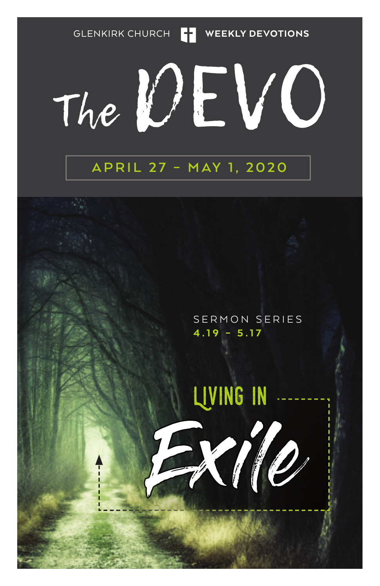GLENKIRK CHURCH **THE WEEKLY DEVOTIONS** 

### VC) The UL

### **APRIL 27 – MAY 1, 2020**

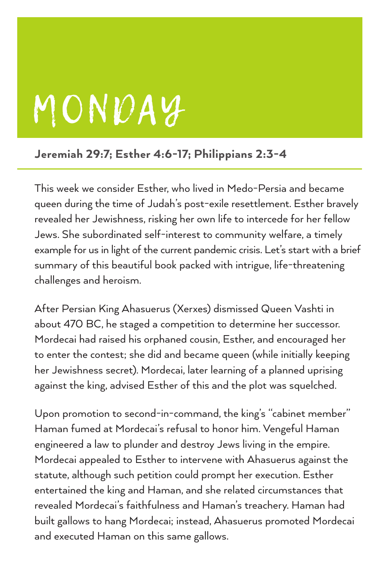# MONDAY

#### Jeremiah 29:7; Esther 4:6-17; Philippians 2:3-4

This week we consider Esther, who lived in Medo-Persia and became queen during the time of Judah's post-exile resettlement. Esther bravely revealed her Jewishness, risking her own life to intercede for her fellow Jews. She subordinated self-interest to community welfare, a timely example for us in light of the current pandemic crisis. Let's start with a brief summary of this beautiful book packed with intrigue, life-threatening challenges and heroism.

After Persian King Ahasuerus (Xerxes) dismissed Queen Vashti in about 470 BC, he staged a competition to determine her successor. Mordecai had raised his orphaned cousin, Esther, and encouraged her to enter the contest; she did and became queen (while initially keeping her Jewishness secret). Mordecai, later learning of a planned uprising against the king, advised Esther of this and the plot was squelched.

Upon promotion to second-in-command, the king's "cabinet member" Haman fumed at Mordecai's refusal to honor him. Vengeful Haman engineered a law to plunder and destroy Jews living in the empire. Mordecai appealed to Esther to intervene with Ahasuerus against the statute, although such petition could prompt her execution. Esther entertained the king and Haman, and she related circumstances that revealed Mordecai's faithfulness and Haman's treachery. Haman had built gallows to hang Mordecai; instead, Ahasuerus promoted Mordecai and executed Haman on this same gallows.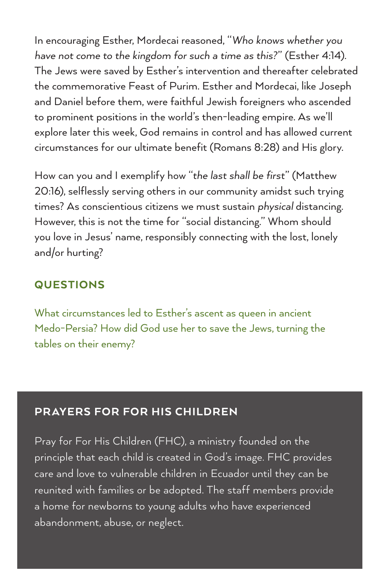In encouraging Esther, Mordecai reasoned, "*Who knows whether you have not come to the kingdom for such a time as this?*" (Esther 4:14). The Jews were saved by Esther's intervention and thereafter celebrated the commemorative Feast of Purim. Esther and Mordecai, like Joseph and Daniel before them, were faithful Jewish foreigners who ascended to prominent positions in the world's then-leading empire. As we'll explore later this week, God remains in control and has allowed current circumstances for our ultimate benefit (Romans 8:28) and His glory.

How can you and I exemplify how "*the last shall be first*" (Matthew 20:16), selflessly serving others in our community amidst such trying times? As conscientious citizens we must sustain *physical* distancing. However, this is not the time for "social distancing." Whom should you love in Jesus' name, responsibly connecting with the lost, lonely and/or hurting?

#### **QUESTIONS**

What circumstances led to Esther's ascent as queen in ancient Medo-Persia? How did God use her to save the Jews, turning the tables on their enemy?

#### PR AYERS FOR FOR HIS CHILDREN

Pray for For His Children (FHC), a ministry founded on the principle that each child is created in God's image. FHC provides care and love to vulnerable children in Ecuador until they can be reunited with families or be adopted. The staff members provide a home for newborns to young adults who have experienced abandonment, abuse, or neglect.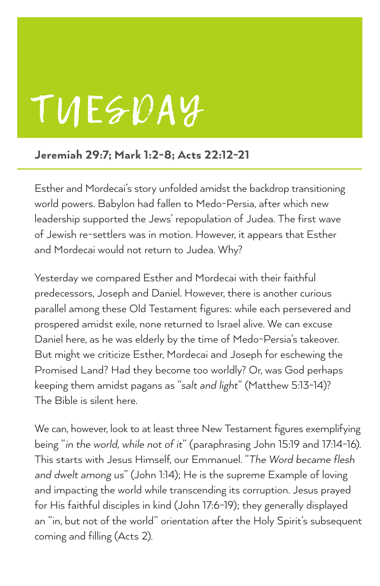# TUESDAY

#### Jeremiah 29:7; Mark 1:2-8; Acts 22:12-21

Esther and Mordecai's story unfolded amidst the backdrop transitioning world powers. Babylon had fallen to Medo-Persia, after which new leadership supported the Jews' repopulation of Judea. The first wave of Jewish re-settlers was in motion. However, it appears that Esther and Mordecai would not return to Judea. Why?

Yesterday we compared Esther and Mordecai with their faithful predecessors, Joseph and Daniel. However, there is another curious parallel among these Old Testament figures: while each persevered and prospered amidst exile, none returned to Israel alive. We can excuse Daniel here, as he was elderly by the time of Medo-Persia's takeover. But might we criticize Esther, Mordecai and Joseph for eschewing the Promised Land? Had they become too worldly? Or, was God perhaps keeping them amidst pagans as "*salt and light*" (Matthew 5:13-14)? The Bible is silent here.

We can, however, look to at least three New Testament figures exemplifying being "*in the world, while not of it*" (paraphrasing John 15:19 and 17:14-16). This starts with Jesus Himself, our Emmanuel. "*The Word became flesh and dwelt among us*" (John 1:14); He is the supreme Example of loving and impacting the world while transcending its corruption. Jesus prayed for His faithful disciples in kind (John 17:6-19); they generally displayed an "in, but not of the world" orientation after the Holy Spirit's subsequent coming and filling (Acts 2).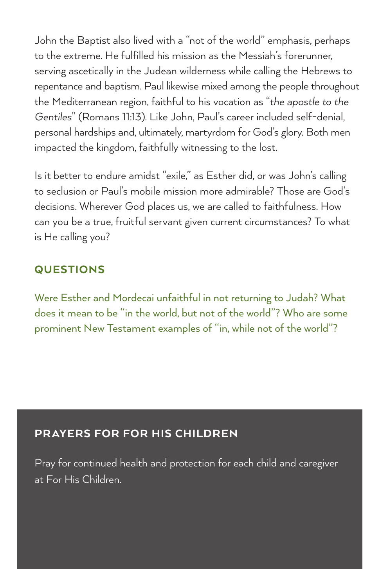John the Baptist also lived with a "not of the world" emphasis, perhaps to the extreme. He fulfilled his mission as the Messiah's forerunner, serving ascetically in the Judean wilderness while calling the Hebrews to repentance and baptism. Paul likewise mixed among the people throughout the Mediterranean region, faithful to his vocation as "*the apostle to the Gentiles*" (Romans 11:13). Like John, Paul's career included self-denial, personal hardships and, ultimately, martyrdom for God's glory. Both men impacted the kingdom, faithfully witnessing to the lost.

Is it better to endure amidst "exile," as Esther did, or was John's calling to seclusion or Paul's mobile mission more admirable? Those are God's decisions. Wherever God places us, we are called to faithfulness. How can you be a true, fruitful servant given current circumstances? To what is He calling you?

#### **QUESTIONS**

Were Esther and Mordecai unfaithful in not returning to Judah? What does it mean to be "in the world, but not of the world"? Who are some prominent New Testament examples of "in, while not of the world"?

#### PRAYERS FOR FOR HIS CHILDREN

Pray for continued health and protection for each child and caregiver at For His Children.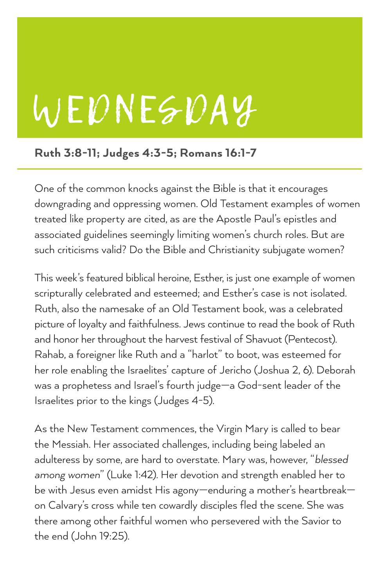# WEDNESDAY

#### Ruth 3:8-11; Judges 4:3-5; Romans 16:1-7

One of the common knocks against the Bible is that it encourages downgrading and oppressing women. Old Testament examples of women treated like property are cited, as are the Apostle Paul's epistles and associated guidelines seemingly limiting women's church roles. But are such criticisms valid? Do the Bible and Christianity subjugate women?

This week's featured biblical heroine, Esther, is just one example of women scripturally celebrated and esteemed; and Esther's case is not isolated. Ruth, also the namesake of an Old Testament book, was a celebrated picture of loyalty and faithfulness. Jews continue to read the book of Ruth and honor her throughout the harvest festival of Shavuot (Pentecost). Rahab, a foreigner like Ruth and a "harlot" to boot, was esteemed for her role enabling the Israelites' capture of Jericho (Joshua 2, 6). Deborah was a prophetess and Israel's fourth judge—a God-sent leader of the Israelites prior to the kings (Judges 4-5).

As the New Testament commences, the Virgin Mary is called to bear the Messiah. Her associated challenges, including being labeled an adulteress by some, are hard to overstate. Mary was, however, "*blessed among women*" (Luke 1:42). Her devotion and strength enabled her to be with Jesus even amidst His agony—enduring a mother's heartbreak on Calvary's cross while ten cowardly disciples fled the scene. She was there among other faithful women who persevered with the Savior to the end (John 19:25).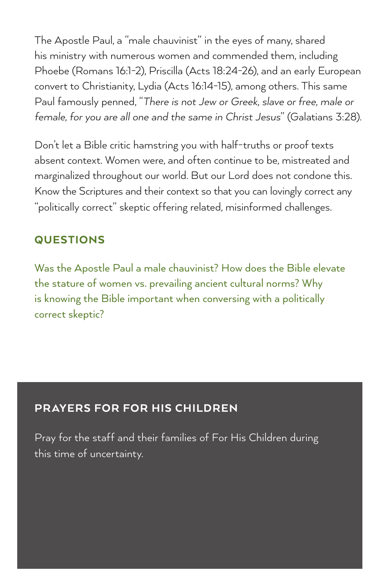The Apostle Paul, a "male chauvinist" in the eyes of many, shared his ministry with numerous women and commended them, including Phoebe (Romans 16:1-2), Priscilla (Acts 18:24-26), and an early European convert to Christianity, Lydia (Acts 16:14-15), among others. This same Paul famously penned, "*There is not Jew or Greek, slave or free, male or female, for you are all one and the same in Christ Jesus*" (Galatians 3:28).

Don't let a Bible critic hamstring you with half-truths or proof texts absent context. Women were, and often continue to be, mistreated and marginalized throughout our world. But our Lord does not condone this. Know the Scriptures and their context so that you can lovingly correct any "politically correct" skeptic offering related, misinformed challenges.

#### **QUESTIONS**

Was the Apostle Paul a male chauvinist? How does the Bible elevate the stature of women vs. prevailing ancient cultural norms? Why is knowing the Bible important when conversing with a politically correct skeptic?

#### PR AYERS FOR FOR HIS CHILDREN

Pray for the staff and their families of For His Children during this time of uncertainty.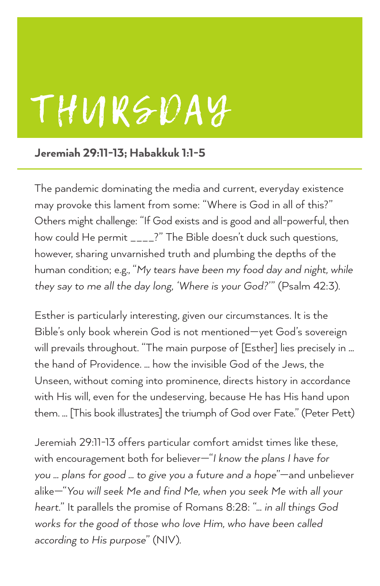## THURSDAY

#### Jeremiah 29:11-13; Habakkuk 1:1-5

The pandemic dominating the media and current, everyday existence may provoke this lament from some: "Where is God in all of this?" Others might challenge: "If God exists and is good and all-powerful, then how could He permit \_\_\_\_?" The Bible doesn't duck such questions, however, sharing unvarnished truth and plumbing the depths of the human condition; e.g., "*My tears have been my food day and night, while they say to me all the day long, 'Where is your God?*'" (Psalm 42:3).

Esther is particularly interesting, given our circumstances. It is the Bible's only book wherein God is not mentioned—yet God's sovereign will prevails throughout. "The main purpose of [Esther] lies precisely in ... the hand of Providence. … how the invisible God of the Jews, the Unseen, without coming into prominence, directs history in accordance with His will, even for the undeserving, because He has His hand upon them. … [This book illustrates] the triumph of God over Fate." (Peter Pett)

Jeremiah 29:11-13 offers particular comfort amidst times like these, with encouragement both for believer—"*I know the plans I have for you … plans for good … to give you a future and a hope*"—and unbeliever alike—"*You will seek Me and find Me, when you seek Me with all your heart.*" It parallels the promise of Romans 8:28: "*… in all things God works for the good of those who love Him, who have been called according to His purpose*" (NIV).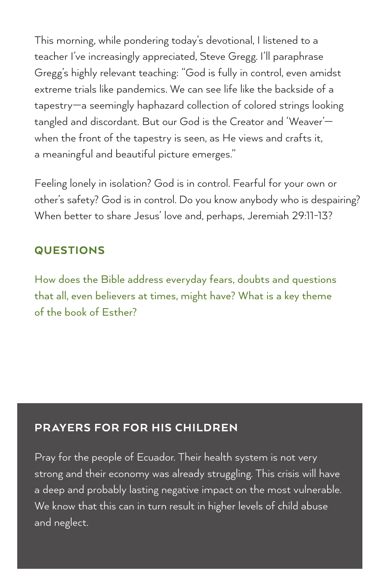This morning, while pondering today's devotional, I listened to a teacher I've increasingly appreciated, Steve Gregg. I'll paraphrase Gregg's highly relevant teaching: "God is fully in control, even amidst extreme trials like pandemics. We can see life like the backside of a tapestry—a seemingly haphazard collection of colored strings looking tangled and discordant. But our God is the Creator and 'Weaver' when the front of the tapestry is seen, as He views and crafts it, a meaningful and beautiful picture emerges."

Feeling lonely in isolation? God is in control. Fearful for your own or other's safety? God is in control. Do you know anybody who is despairing? When better to share Jesus' love and, perhaps, Jeremiah 29:11-13?

#### QUESTIONS

How does the Bible address everyday fears, doubts and questions that all, even believers at times, might have? What is a key theme of the book of Esther?

#### PRAYERS FOR FOR HIS CHILDREN

Pray for the people of Ecuador. Their health system is not very strong and their economy was already struggling. This crisis will have a deep and probably lasting negative impact on the most vulnerable. We know that this can in turn result in higher levels of child abuse and neglect.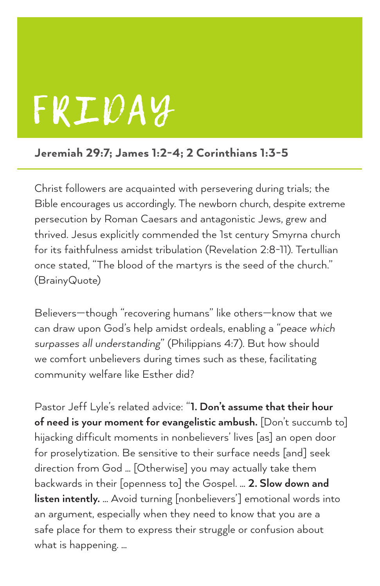## FRIDAY

#### Jeremiah 29:7; James 1:2-4; 2 Corinthians 1:3-5

Christ followers are acquainted with persevering during trials; the Bible encourages us accordingly. The newborn church, despite extreme persecution by Roman Caesars and antagonistic Jews, grew and thrived. Jesus explicitly commended the 1st century Smyrna church for its faithfulness amidst tribulation (Revelation 2:8-11). Tertullian once stated, "The blood of the martyrs is the seed of the church." (BrainyQuote)

Believers—though "recovering humans" like others—know that we can draw upon God's help amidst ordeals, enabling a "*peace which surpasses all understanding*" (Philippians 4:7). But how should we comfort unbelievers during times such as these, facilitating community welfare like Esther did?

Pastor Jeff Lyle's related advice: "**1. Don't assume that their hour of need is your moment for evangelistic ambush.** [Don't succumb to] hijacking difficult moments in nonbelievers' lives [as] an open door for proselytization. Be sensitive to their surface needs [and] seek direction from God … [Otherwise] you may actually take them backwards in their [openness to] the Gospel. … **2. Slow down and listen intently.** … Avoid turning [nonbelievers'] emotional words into an argument, especially when they need to know that you are a safe place for them to express their struggle or confusion about what is happening. …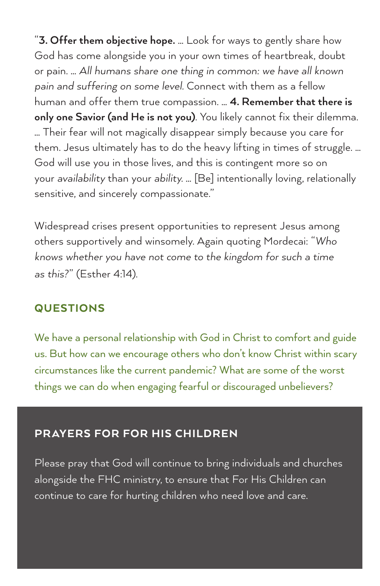"**3. Offer them objective hope.** … Look for ways to gently share how God has come alongside you in your own times of heartbreak, doubt or pain. … *All humans share one thing in common: we have all known pain and suffering on some level.* Connect with them as a fellow human and offer them true compassion. … **4. Remember that there is only one Savior (and He is not you)**. You likely cannot fix their dilemma. … Their fear will not magically disappear simply because you care for them. Jesus ultimately has to do the heavy lifting in times of struggle. … God will use you in those lives, and this is contingent more so on your *availability* than your *ability*. … [Be] intentionally loving, relationally sensitive, and sincerely compassionate."

Widespread crises present opportunities to represent Jesus among others supportively and winsomely. Again quoting Mordecai: "*Who knows whether you have not come to the kingdom for such a time as this?*" (Esther 4:14).

#### **QUESTIONS**

We have a personal relationship with God in Christ to comfort and guide us. But how can we encourage others who don't know Christ within scary circumstances like the current pandemic? What are some of the worst things we can do when engaging fearful or discouraged unbelievers?

#### PR AYERS FOR FOR HIS CHILDREN

Please pray that God will continue to bring individuals and churches alongside the FHC ministry, to ensure that For His Children can continue to care for hurting children who need love and care.